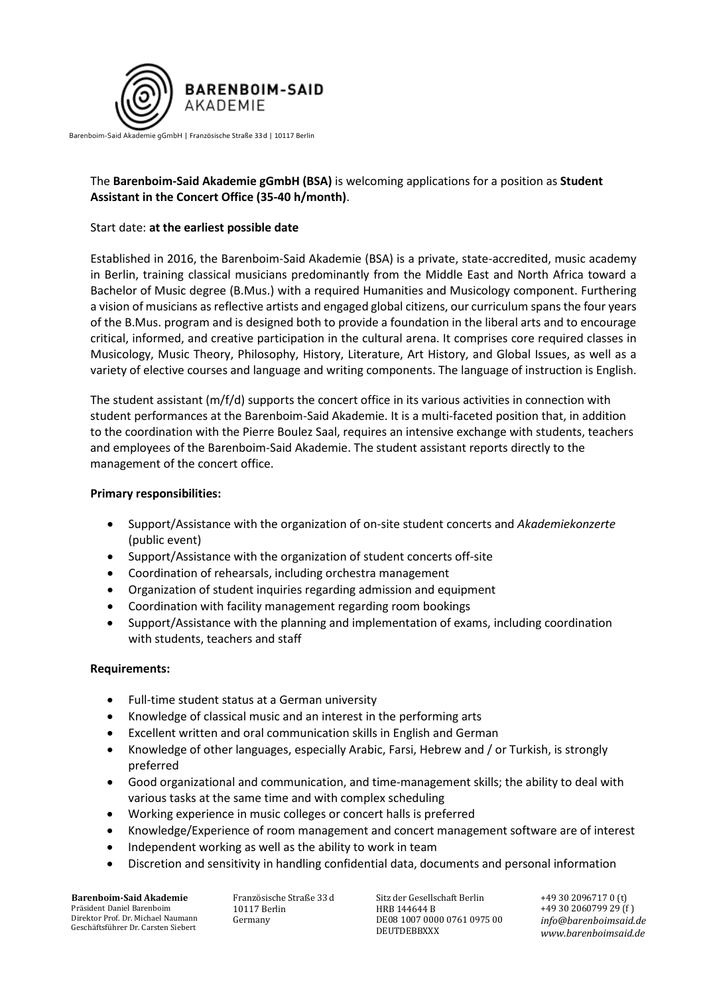

#### Barenboim-Said Akademie gGmbH | Französische Straße 33d | 10117 Berlin

# The **Barenboim-Said Akademie gGmbH (BSA)** is welcoming applications for a position as **Student Assistant in the Concert Office (35-40 h/month)**.

## Start date: **at the earliest possible date**

Established in 2016, the Barenboim-Said Akademie (BSA) is a private, state-accredited, music academy in Berlin, training classical musicians predominantly from the Middle East and North Africa toward a Bachelor of Music degree (B.Mus.) with a required Humanities and Musicology component. Furthering a vision of musicians as reflective artists and engaged global citizens, our curriculum spans the four years of the B.Mus. program and is designed both to provide a foundation in the liberal arts and to encourage critical, informed, and creative participation in the cultural arena. It comprises core required classes in Musicology, Music Theory, Philosophy, History, Literature, Art History, and Global Issues, as well as a variety of elective courses and language and writing components. The language of instruction is English.

The student assistant (m/f/d) supports the concert office in its various activities in connection with student performances at the Barenboim-Said Akademie. It is a multi-faceted position that, in addition to the coordination with the Pierre Boulez Saal, requires an intensive exchange with students, teachers and employees of the Barenboim-Said Akademie. The student assistant reports directly to the management of the concert office.

#### **Primary responsibilities:**

- Support/Assistance with the organization of on-site student concerts and *Akademiekonzerte* (public event)
- Support/Assistance with the organization of student concerts off-site
- Coordination of rehearsals, including orchestra management
- Organization of student inquiries regarding admission and equipment
- Coordination with facility management regarding room bookings
- Support/Assistance with the planning and implementation of exams, including coordination with students, teachers and staff

## **Requirements:**

- Full-time student status at a German university
- Knowledge of classical music and an interest in the performing arts
- Excellent written and oral communication skills in English and German
- Knowledge of other languages, especially Arabic, Farsi, Hebrew and / or Turkish, is strongly preferred
- Good organizational and communication, and time-management skills; the ability to deal with various tasks at the same time and with complex scheduling
- Working experience in music colleges or concert halls is preferred
- Knowledge/Experience of room management and concert management software are of interest
- Independent working as well as the ability to work in team
- Discretion and sensitivity in handling confidential data, documents and personal information

**Barenboim-Said Akademie** Präsident Daniel Barenboim Direktor Prof. Dr. Michael Naumann Geschäftsführer Dr. Carsten Siebert

Französische Straße 33 d 10117 Berlin Germany

Sitz der Gesellschaft Berlin HRB 144644 B DE08 1007 0000 0761 0975 00 DEUTDEBBXXX

+49 30 2096717 0 (t) +49 30 2060799 29 (f  ) *info@barenboimsaid.de www.barenboimsaid.de*